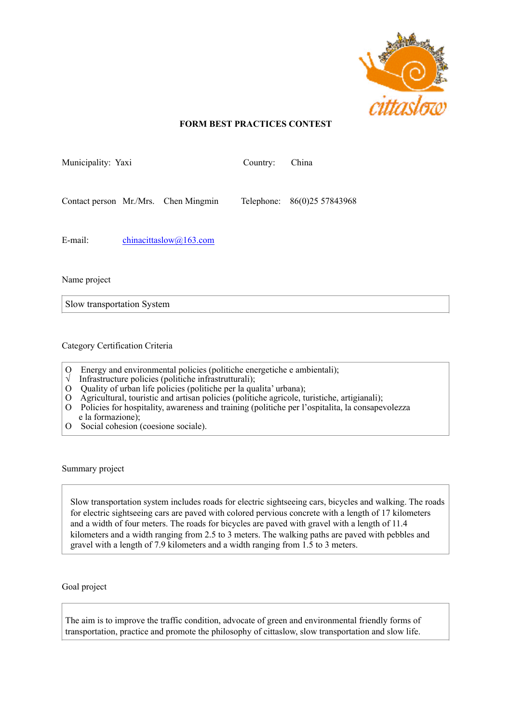

## **FORM BEST PRACTICES CONTEST**

| Municipality: Yaxi |                           |                                      | Country: | China                       |
|--------------------|---------------------------|--------------------------------------|----------|-----------------------------|
|                    |                           | Contact person Mr./Mrs. Chen Mingmin |          | Telephone: 86(0)25 57843968 |
| E-mail:            | chinacittaslow $@163.com$ |                                      |          |                             |

Name project

Slow transportation System

Category Certification Criteria

- O Energy and environmental policies (politiche energetiche e ambientali);
- √ Infrastructure policies (politiche infrastrutturali);
- O Quality of urban life policies (politiche per la qualita' urbana);
- O Agricultural, touristic and artisan policies (politiche agricole, turistiche, artigianali);
- O Policies for hospitality, awareness and training (politiche per l'ospitalita, la consapevolezza e la formazione);
- O Social cohesion (coesione sociale).

Summary project

Slow transportation system includes roads for electric sightseeing cars, bicycles and walking. The roads for electric sightseeing cars are paved with colored pervious concrete with a length of 17 kilometers and a width of four meters. The roads for bicycles are paved with gravel with a length of 11.4 kilometers and a width ranging from 2.5 to 3 meters. The walking paths are paved with pebbles and gravel with a length of 7.9 kilometers and a width ranging from 1.5 to 3 meters.

Goal project

The aim is to improve the traffic condition, advocate of green and environmental friendly forms of transportation, practice and promote the philosophy of cittaslow, slow transportation and slow life.